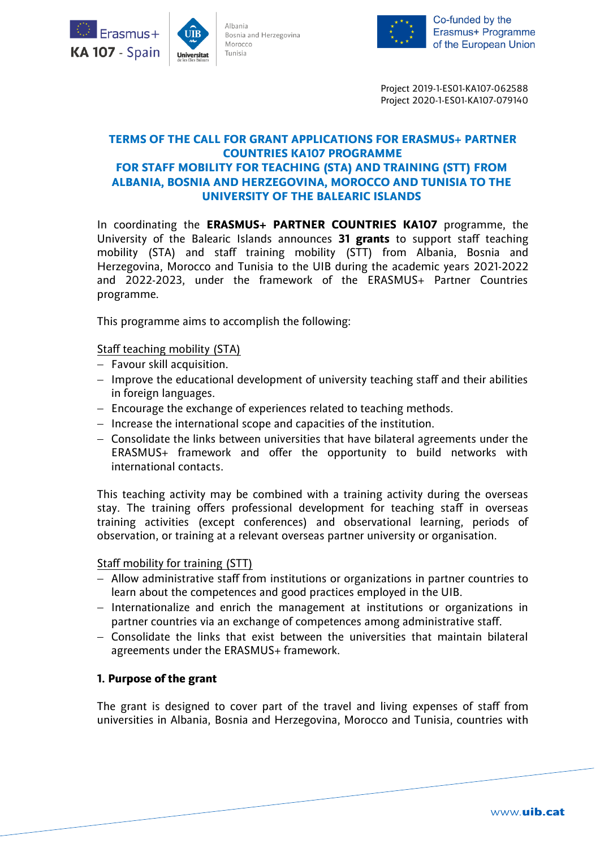



Project 2019-1-ES01-KA107-062588 Project 2020-1-ES01-KA107-079140

## **TERMS OF THE CALL FOR GRANT APPLICATIONS FOR ERASMUS+ PARTNER COUNTRIES KA107 PROGRAMME FOR STAFF MOBILITY FOR TEACHING (STA) AND TRAINING (STT) FROM ALBANIA, BOSNIA AND HERZEGOVINA, MOROCCO AND TUNISIA TO THE UNIVERSITY OF THE BALEARIC ISLANDS**

In coordinating the **ERASMUS+ PARTNER COUNTRIES KA107** programme, the University of the Balearic Islands announces **31 grants** to support staff teaching mobility (STA) and staff training mobility (STT) from Albania, Bosnia and Herzegovina, Morocco and Tunisia to the UIB during the academic years 2021-2022 and 2022-2023, under the framework of the ERASMUS+ Partner Countries programme.

This programme aims to accomplish the following:

Staff teaching mobility (STA)

- $-$  Favour skill acquisition.
- $-$  Improve the educational development of university teaching staff and their abilities in foreign languages.
- $-$  Encourage the exchange of experiences related to teaching methods.
- $-$  Increase the international scope and capacities of the institution.
- Consolidate the links between universities that have bilateral agreements under the ERASMUS+ framework and offer the opportunity to build networks with international contacts.

This teaching activity may be combined with a training activity during the overseas stay. The training offers professional development for teaching staff in overseas training activities (except conferences) and observational learning, periods of observation, or training at a relevant overseas partner university or organisation.

#### Staff mobility for training (STT)

- Allow administrative staff from institutions or organizations in partner countries to learn about the competences and good practices employed in the UIB.
- Internationalize and enrich the management at institutions or organizations in partner countries via an exchange of competences among administrative staff.
- $-$  Consolidate the links that exist between the universities that maintain bilateral agreements under the ERASMUS+ framework.

## **1. Purpose of the grant**

The grant is designed to cover part of the travel and living expenses of staff from universities in Albania, Bosnia and Herzegovina, Morocco and Tunisia, countries with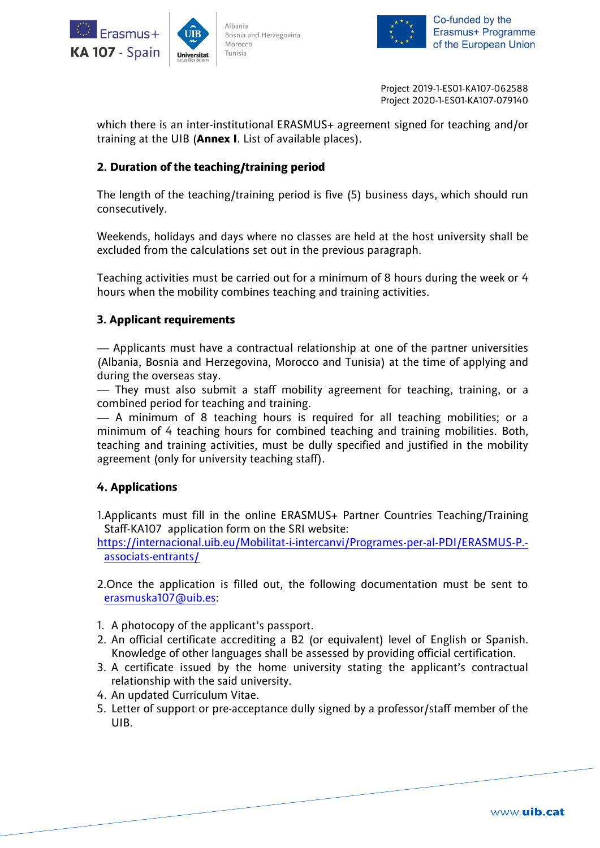



Project 2019-1-ES01-KA107-062588 Project 2020-1-ES01-KA107-079140

which there is an inter-institutional ERASMUS+ agreement signed for teaching and/or training at the UIB (**Annex I**. List of available places).

# **2. Duration of the teaching/training period**

The length of the teaching/training period is five (5) business days, which should run consecutively.

Weekends, holidays and days where no classes are held at the host university shall be excluded from the calculations set out in the previous paragraph.

Teaching activities must be carried out for a minimum of 8 hours during the week or 4 hours when the mobility combines teaching and training activities.

## **3. Applicant requirements**

— Applicants must have a contractual relationship at one of the partner universities (Albania, Bosnia and Herzegovina, Morocco and Tunisia) at the time of applying and during the overseas stay.

— They must also submit a staff mobility agreement for teaching, training, or a combined period for teaching and training.

— A minimum of 8 teaching hours is required for all teaching mobilities; or a minimum of 4 teaching hours for combined teaching and training mobilities. Both, teaching and training activities, must be dully specified and justified in the mobility agreement (only for university teaching staff).

# **4. Applications**

1.Applicants must fill in the online ERASMUS+ Partner Countries Teaching/Training Staff-KA107 application form on the SRI website:

[https://internacional.uib.eu/Mobilitat-i-intercanvi/Programes-per-al-PDI/ERASMUS-P.](https://internacional.uib.eu/Mobilitat-i-intercanvi/Programes-per-al-PDI/ERASMUS-P.-associats-entrants/) [associats-entrants/](https://internacional.uib.eu/Mobilitat-i-intercanvi/Programes-per-al-PDI/ERASMUS-P.-associats-entrants/)

2.Once the application is filled out, the following documentation must be sent to [erasmuska107@uib.es:](mailto:erasmuska107@uib.es)

- 1. A photocopy of the applicant's passport.
- 2. An official certificate accrediting a B2 (or equivalent) level of English or Spanish. Knowledge of other languages shall be assessed by providing official certification.
- 3. A certificate issued by the home university stating the applicant's contractual relationship with the said university.
- 4. An updated Curriculum Vitae.
- 5. Letter of support or pre-acceptance dully signed by a professor/staff member of the UIB.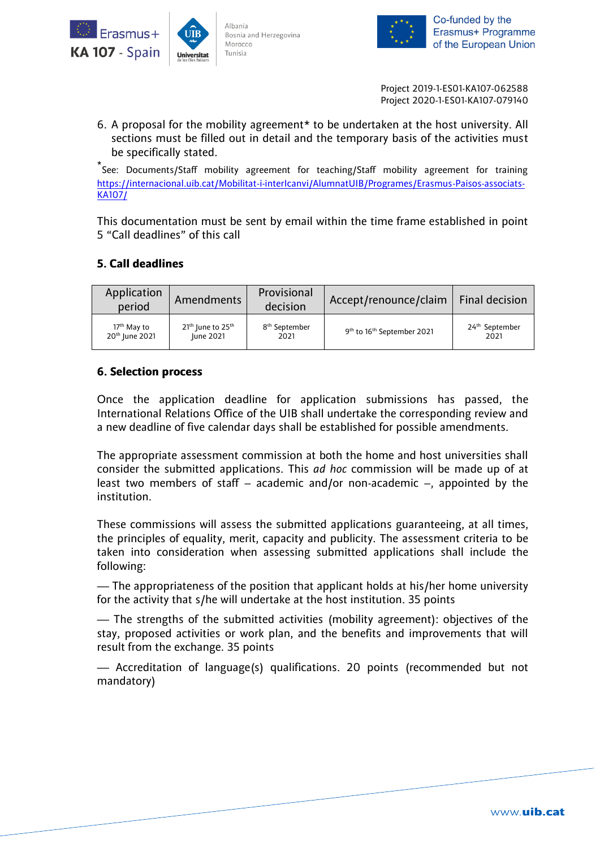



Project 2019-1-ES01-KA107-062588 Project 2020-1-ES01-KA107-079140

6. A proposal for the mobility agreement\* to be undertaken at the host university. All sections must be filled out in detail and the temporary basis of the activities must be specifically stated.

\* See: Documents/Staff mobility agreement for teaching/Staff mobility agreement for training [https://internacional.uib.cat/Mobilitat-i-interIcanvi/AlumnatUIB/Programes/Erasmus-Paisos-associats-](https://internacional.uib.cat/Mobilitat-i-interIcanvi/AlumnatUIB/Programes/Erasmus-Paisos-associats-KA107/)[KA107/](https://internacional.uib.cat/Mobilitat-i-interIcanvi/AlumnatUIB/Programes/Erasmus-Paisos-associats-KA107/)

This documentation must be sent by email within the time frame established in point 5 "Call deadlines" of this call

# **5. Call deadlines**

| Application<br>period      | Amendments            | Provisional<br>decision   | Accept/renounce/claim                              | Final decision             |
|----------------------------|-----------------------|---------------------------|----------------------------------------------------|----------------------------|
| 17 <sup>th</sup> May to    | $21th$ June to $25th$ | 8 <sup>th</sup> September | 9 <sup>th</sup> to 16 <sup>th</sup> September 2021 | 24 <sup>th</sup> September |
| 20 <sup>th</sup> June 2021 | June 2021             | 2021                      |                                                    | 2021                       |

## **6. Selection process**

Once the application deadline for application submissions has passed, the International Relations Office of the UIB shall undertake the corresponding review and a new deadline of five calendar days shall be established for possible amendments.

The appropriate assessment commission at both the home and host universities shall consider the submitted applications. This *ad hoc* commission will be made up of at least two members of staff – academic and/or non-academic –, appointed by the institution.

These commissions will assess the submitted applications guaranteeing, at all times, the principles of equality, merit, capacity and publicity. The assessment criteria to be taken into consideration when assessing submitted applications shall include the following:

— The appropriateness of the position that applicant holds at his/her home university for the activity that s/he will undertake at the host institution. 35 points

— The strengths of the submitted activities (mobility agreement): objectives of the stay, proposed activities or work plan, and the benefits and improvements that will result from the exchange. 35 points

— Accreditation of language(s) qualifications. 20 points (recommended but not mandatory)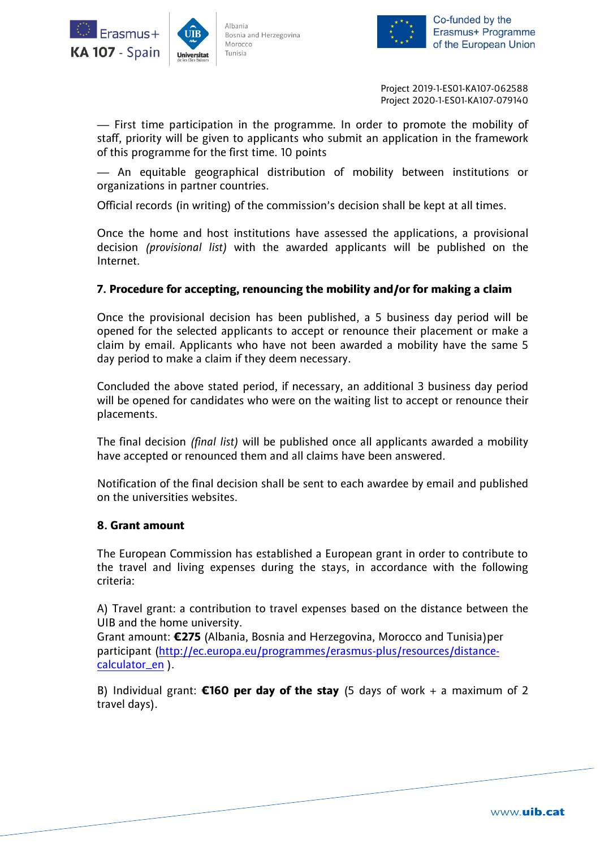



Co-funded by the Erasmus+ Programme of the European Union

Project 2019-1-ES01-KA107-062588 Project 2020-1-ES01-KA107-079140

— First time participation in the programme. In order to promote the mobility of staff, priority will be given to applicants who submit an application in the framework of this programme for the first time. 10 points

— An equitable geographical distribution of mobility between institutions or organizations in partner countries.

Official records (in writing) of the commission's decision shall be kept at all times.

Once the home and host institutions have assessed the applications, a provisional decision *(provisional list)* with the awarded applicants will be published on the Internet.

## **7. Procedure for accepting, renouncing the mobility and/or for making a claim**

Once the provisional decision has been published, a 5 business day period will be opened for the selected applicants to accept or renounce their placement or make a claim by email. Applicants who have not been awarded a mobility have the same 5 day period to make a claim if they deem necessary.

Concluded the above stated period, if necessary, an additional 3 business day period will be opened for candidates who were on the waiting list to accept or renounce their placements.

The final decision *(final list)* will be published once all applicants awarded a mobility have accepted or renounced them and all claims have been answered.

Notification of the final decision shall be sent to each awardee by email and published on the universities websites.

#### **8. Grant amount**

The European Commission has established a European grant in order to contribute to the travel and living expenses during the stays, in accordance with the following criteria:

A) Travel grant: a contribution to travel expenses based on the distance between the UIB and the home university.

Grant amount: **€275** (Albania, Bosnia and Herzegovina, Morocco and Tunisia)per participant [\(http://ec.europa.eu/programmes/erasmus-plus/resources/distance](http://ec.europa.eu/programmes/erasmus-plus/resources/distance-calculator_en)[calculator\\_en](http://ec.europa.eu/programmes/erasmus-plus/resources/distance-calculator_en) ).

B) Individual grant: **€160 per day of the stay** (5 days of work + a maximum of 2 travel days).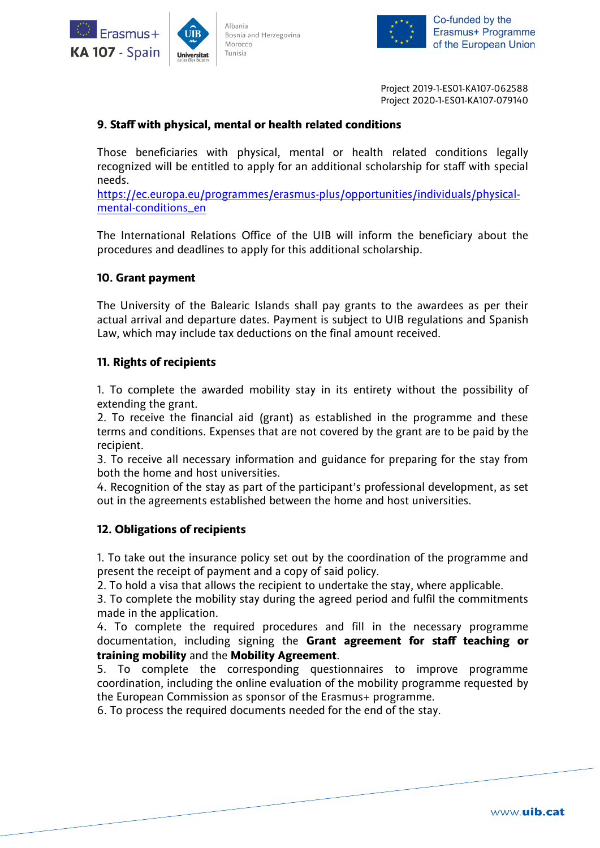



Co-funded by the Erasmus+ Programme of the European Union

Project 2019-1-ES01-KA107-062588 Project 2020-1-ES01-KA107-079140

## **9. Staff with physical, mental or health related conditions**

Those beneficiaries with physical, mental or health related conditions legally recognized will be entitled to apply for an additional scholarship for staff with special needs.

[https://ec.europa.eu/programmes/erasmus-plus/opportunities/individuals/physical](https://ec.europa.eu/programmes/erasmus-plus/opportunities/individuals/physical-mental-conditions_en)[mental-conditions\\_en](https://ec.europa.eu/programmes/erasmus-plus/opportunities/individuals/physical-mental-conditions_en)

The International Relations Office of the UIB will inform the beneficiary about the procedures and deadlines to apply for this additional scholarship.

## **10. Grant payment**

The University of the Balearic Islands shall pay grants to the awardees as per their actual arrival and departure dates. Payment is subject to UIB regulations and Spanish Law, which may include tax deductions on the final amount received.

## **11. Rights of recipients**

1. To complete the awarded mobility stay in its entirety without the possibility of extending the grant.

2. To receive the financial aid (grant) as established in the programme and these terms and conditions. Expenses that are not covered by the grant are to be paid by the recipient.

3. To receive all necessary information and guidance for preparing for the stay from both the home and host universities.

4. Recognition of the stay as part of the participant's professional development, as set out in the agreements established between the home and host universities.

## **12. Obligations of recipients**

1. To take out the insurance policy set out by the coordination of the programme and present the receipt of payment and a copy of said policy.

2. To hold a visa that allows the recipient to undertake the stay, where applicable.

3. To complete the mobility stay during the agreed period and fulfil the commitments made in the application.

4. To complete the required procedures and fill in the necessary programme documentation, including signing the **Grant agreement for staff teaching or training mobility** and the **Mobility Agreement**.

5. To complete the corresponding questionnaires to improve programme coordination, including the online evaluation of the mobility programme requested by the European Commission as sponsor of the Erasmus+ programme.

6. To process the required documents needed for the end of the stay.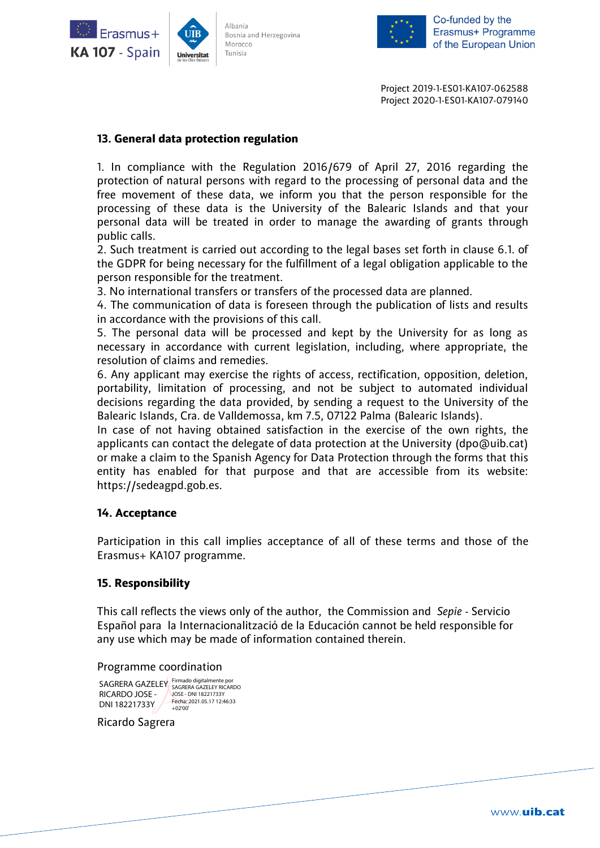



Project 2019-1-ES01-KA107-062588 Project 2020-1-ES01-KA107-079140

## **13. General data protection regulation**

1. In compliance with the Regulation 2016/679 of April 27, 2016 regarding the protection of natural persons with regard to the processing of personal data and the free movement of these data, we inform you that the person responsible for the processing of these data is the University of the Balearic Islands and that your personal data will be treated in order to manage the awarding of grants through public calls.

2. Such treatment is carried out according to the legal bases set forth in clause 6.1. of the GDPR for being necessary for the fulfillment of a legal obligation applicable to the person responsible for the treatment.

3. No international transfers or transfers of the processed data are planned.

4. The communication of data is foreseen through the publication of lists and results in accordance with the provisions of this call.

5. The personal data will be processed and kept by the University for as long as necessary in accordance with current legislation, including, where appropriate, the resolution of claims and remedies.

6. Any applicant may exercise the rights of access, rectification, opposition, deletion, portability, limitation of processing, and not be subject to automated individual decisions regarding the data provided, by sending a request to the University of the Balearic Islands, Cra. de Valldemossa, km 7.5, 07122 Palma (Balearic Islands).

In case of not having obtained satisfaction in the exercise of the own rights, the applicants can contact the delegate of data protection at the University (dpo@uib.cat) or make a claim to the Spanish Agency for Data Protection through the forms that this entity has enabled for that purpose and that are accessible from its website: https://sedeagpd.gob.es.

## **14. Acceptance**

Participation in this call implies acceptance of all of these terms and those of the Erasmus+ KA107 programme.

## **15. Responsibility**

This call reflects the views only of the author, the Commission and *Sepie* - Servicio Español para la Internacionalització de la Educación cannot be held responsible for any use which may be made of information contained therein.

#### Programme coordination

SAGRERA GAZELEY Firmado digitalmente por RICARDO JOSE - DNI 18221733Y JOSE - DNI 18221733Y Fecha: 2021.05.17 12:46:33 +02'00'

#### Ricardo Sagrera